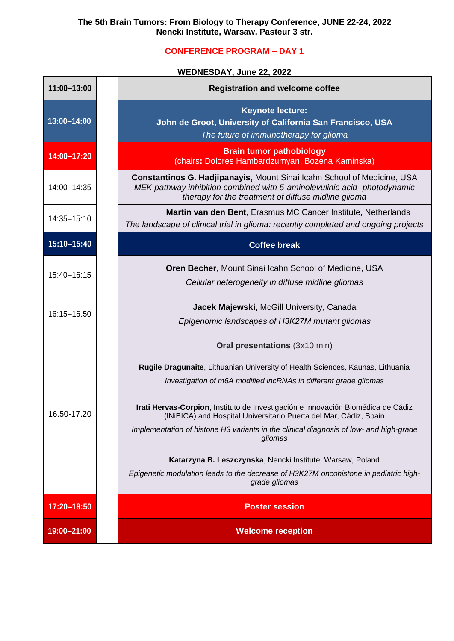## **CONFERENCE PROGRAM – DAY 1**

## **WEDNESDAY, June 22, 2022**

| 11:00-13:00 | <b>Registration and welcome coffee</b>                                                                                                                                                                    |
|-------------|-----------------------------------------------------------------------------------------------------------------------------------------------------------------------------------------------------------|
| 13:00-14:00 | <b>Keynote lecture:</b><br>John de Groot, University of California San Francisco, USA<br>The future of immunotherapy for glioma                                                                           |
| 14:00-17:20 | <b>Brain tumor pathobiology</b><br>(chairs: Dolores Hambardzumyan, Bozena Kaminska)                                                                                                                       |
| 14:00-14:35 | Constantinos G. Hadjipanayis, Mount Sinai Icahn School of Medicine, USA<br>MEK pathway inhibition combined with 5-aminolevulinic acid-photodynamic<br>therapy for the treatment of diffuse midline glioma |
| 14:35-15:10 | Martin van den Bent, Erasmus MC Cancer Institute, Netherlands<br>The landscape of clinical trial in glioma: recently completed and ongoing projects                                                       |
| 15:10-15:40 | <b>Coffee break</b>                                                                                                                                                                                       |
| 15:40-16:15 | <b>Oren Becher, Mount Sinai Icahn School of Medicine, USA</b><br>Cellular heterogeneity in diffuse midline gliomas                                                                                        |
| 16:15-16.50 | Jacek Majewski, McGill University, Canada<br>Epigenomic landscapes of H3K27M mutant gliomas                                                                                                               |
|             | <b>Oral presentations (3x10 min)</b>                                                                                                                                                                      |
| 16.50-17.20 | Rugile Dragunaite, Lithuanian University of Health Sciences, Kaunas, Lithuania<br>Investigation of m6A modified IncRNAs in different grade gliomas                                                        |
|             | Irati Hervas-Corpion, Instituto de Investigación e Innovación Biomédica de Cádiz<br>(INiBICA) and Hospital Universitario Puerta del Mar, Cádiz, Spain                                                     |
|             | Implementation of histone H3 variants in the clinical diagnosis of low- and high-grade<br>gliomas                                                                                                         |
|             | Katarzyna B. Leszczynska, Nencki Institute, Warsaw, Poland<br>Epigenetic modulation leads to the decrease of H3K27M oncohistone in pediatric high-<br>grade gliomas                                       |
| 17:20-18:50 | <b>Poster session</b>                                                                                                                                                                                     |
| 19:00-21:00 | <b>Welcome reception</b>                                                                                                                                                                                  |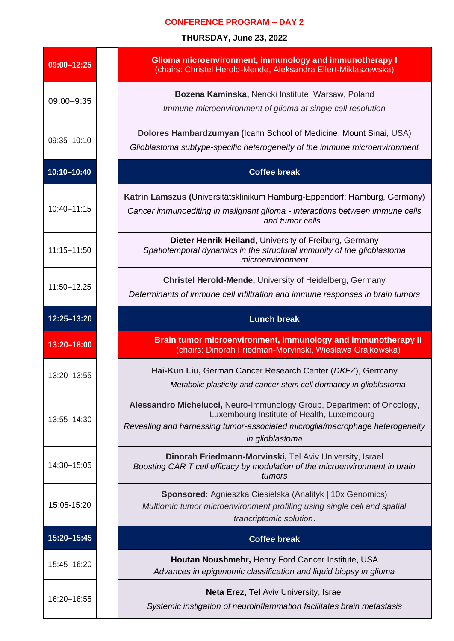## **CONFERENCE PROGRAM – DAY 2**

**THURSDAY, June 23, 2022**

| 09:00-12:25     | Glioma microenvironment, immunology and immunotherapy I<br>(chairs: Christel Herold-Mende, Aleksandra Ellert-Miklaszewska)                                                                                              |
|-----------------|-------------------------------------------------------------------------------------------------------------------------------------------------------------------------------------------------------------------------|
| 09:00-9:35      | Bozena Kaminska, Nencki Institute, Warsaw, Poland<br>Immune microenvironment of glioma at single cell resolution                                                                                                        |
| 09:35-10:10     | Dolores Hambardzumyan (Icahn School of Medicine, Mount Sinai, USA)<br>Glioblastoma subtype-specific heterogeneity of the immune microenvironment                                                                        |
| 10:10-10:40     | <b>Coffee break</b>                                                                                                                                                                                                     |
| 10:40-11:15     | Katrin Lamszus (Universitätsklinikum Hamburg-Eppendorf; Hamburg, Germany)<br>Cancer immunoediting in malignant glioma - interactions between immune cells<br>and tumor cells                                            |
| $11:15 - 11:50$ | Dieter Henrik Heiland, University of Freiburg, Germany<br>Spatiotemporal dynamics in the structural immunity of the glioblastoma<br>microenvironment                                                                    |
| 11:50-12.25     | <b>Christel Herold-Mende, University of Heidelberg, Germany</b><br>Determinants of immune cell infiltration and immune responses in brain tumors                                                                        |
| 12:25-13:20     | <b>Lunch break</b>                                                                                                                                                                                                      |
|                 |                                                                                                                                                                                                                         |
| 13:20-18:00     | Brain tumor microenvironment, immunology and immunotherapy II<br>(chairs: Dinorah Friedman-Morvinski, Wiesława Grajkowska)                                                                                              |
| 13:20-13:55     | Hai-Kun Liu, German Cancer Research Center (DKFZ), Germany<br>Metabolic plasticity and cancer stem cell dormancy in glioblastoma                                                                                        |
| 13:55-14:30     | Alessandro Michelucci, Neuro-Immunology Group, Department of Oncology,<br>Luxembourg Institute of Health, Luxembourg<br>Revealing and harnessing tumor-associated microglia/macrophage heterogeneity<br>in glioblastoma |
| 14:30-15:05     | Dinorah Friedmann-Morvinski, Tel Aviv University, Israel<br>Boosting CAR T cell efficacy by modulation of the microenvironment in brain<br>tumors                                                                       |
| 15:05-15:20     | <b>Sponsored:</b> Agnieszka Ciesielska (Analityk   10x Genomics)<br>Multiomic tumor microenvironment profiling using single cell and spatial<br>trancriptomic solution.                                                 |
| 15:20-15:45     | <b>Coffee break</b>                                                                                                                                                                                                     |
| 15:45-16:20     | Houtan Noushmehr, Henry Ford Cancer Institute, USA<br>Advances in epigenomic classification and liquid biopsy in glioma                                                                                                 |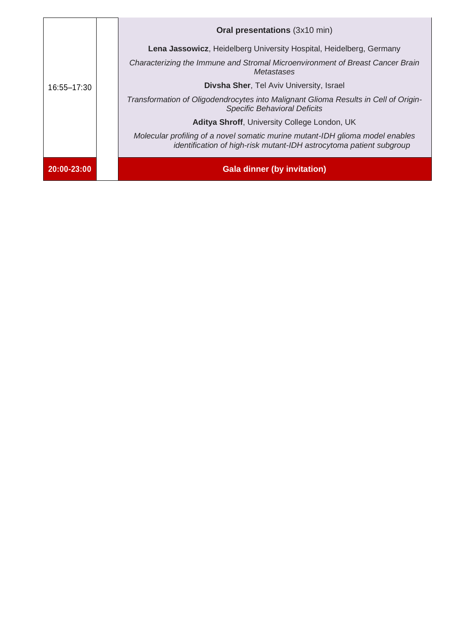| 16:55-17:30 | <b>Oral presentations (3x10 min)</b>                                                                                                                 |
|-------------|------------------------------------------------------------------------------------------------------------------------------------------------------|
|             | Lena Jassowicz, Heidelberg University Hospital, Heidelberg, Germany                                                                                  |
|             | Characterizing the Immune and Stromal Microenvironment of Breast Cancer Brain<br>Metastases                                                          |
|             | <b>Divsha Sher, Tel Aviv University, Israel</b>                                                                                                      |
|             | Transformation of Oligodendrocytes into Malignant Glioma Results in Cell of Origin-<br><b>Specific Behavioral Deficits</b>                           |
|             | Aditya Shroff, University College London, UK                                                                                                         |
|             | Molecular profiling of a novel somatic murine mutant-IDH glioma model enables<br>identification of high-risk mutant-IDH astrocytoma patient subgroup |
| 20:00-23:00 | <b>Gala dinner (by invitation)</b>                                                                                                                   |